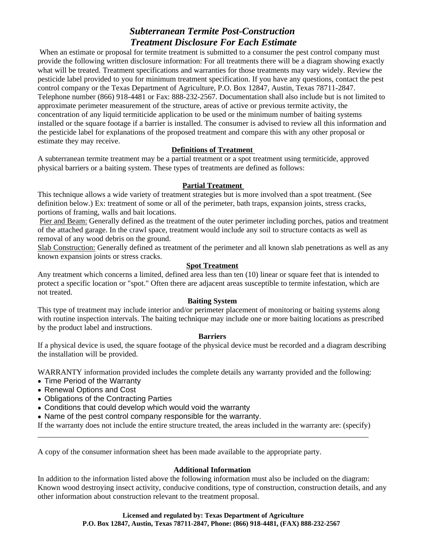# *Subterranean Termite Post-Construction Treatment Disclosure For Each Estimate*

When an estimate or proposal for termite treatment is submitted to a consumer the pest control company must provide the following written disclosure information: For all treatments there will be a diagram showing exactly what will be treated. Treatment specifications and warranties for those treatments may vary widely. Review the pesticide label provided to you for minimum treatment specification. If you have any questions, contact the pest control company or the Texas Department of Agriculture, P.O. Box 12847, Austin, Texas 78711-2847. Telephone number (866) 918-4481 or Fax: 888-232-2567. Documentation shall also include but is not limited to approximate perimeter measurement of the structure, areas of active or previous termite activity, the concentration of any liquid termiticide application to be used or the minimum number of baiting systems installed or the square footage if a barrier is installed. The consumer is advised to review all this information and the pesticide label for explanations of the proposed treatment and compare this with any other proposal or estimate they may receive.

## **Definitions of Treatment**

A subterranean termite treatment may be a partial treatment or a spot treatment using termiticide, approved physical barriers or a baiting system. These types of treatments are defined as follows:

### **Partial Treatment**

This technique allows a wide variety of treatment strategies but is more involved than a spot treatment. (See definition below.) Ex: treatment of some or all of the perimeter, bath traps, expansion joints, stress cracks, portions of framing, walls and bait locations.

Pier and Beam: Generally defined as the treatment of the outer perimeter including porches, patios and treatment of the attached garage. In the crawl space, treatment would include any soil to structure contacts as well as removal of any wood debris on the ground.

Slab Construction: Generally defined as treatment of the perimeter and all known slab penetrations as well as any known expansion joints or stress cracks.

#### **Spot Treatment**

Any treatment which concerns a limited, defined area less than ten (10) linear or square feet that is intended to protect a specific location or "spot." Often there are adjacent areas susceptible to termite infestation, which are not treated.

#### **Baiting System**

This type of treatment may include interior and/or perimeter placement of monitoring or baiting systems along with routine inspection intervals. The baiting technique may include one or more baiting locations as prescribed by the product label and instructions.

#### **Barriers**

If a physical device is used, the square footage of the physical device must be recorded and a diagram describing the installation will be provided.

WARRANTY information provided includes the complete details any warranty provided and the following:

- Time Period of the Warranty
- Renewal Options and Cost
- Obligations of the Contracting Parties
- Conditions that could develop which would void the warranty
- Name of the pest control company responsible for the warranty.

If the warranty does not include the entire structure treated, the areas included in the warranty are: (specify)<br>
A copy of the consumer information sheet has been made available to the appropriate party.

#### **Additional Information**

In addition to the information listed above the following information must also be included on the diagram: Known wood destroying insect activity, conducive conditions, type of construction, construction details, and any other information about construction relevant to the treatment proposal.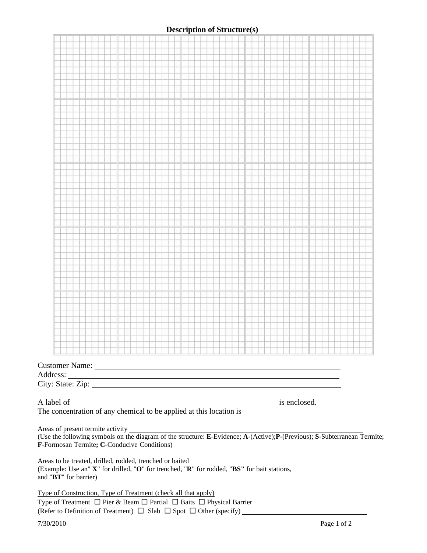# **Description of Structure(s)**

|                                                                                                                                                                                  |  |  |  | الطونات المتاحة والمناصبات والمناصلة والمتاح المتاح المتاح المتاحات المناصرات المتاحة والمتاحات المتاح المتاحة |  |  |  |  |  |  |  |  |  |  |  |  |  |  |  |  |
|----------------------------------------------------------------------------------------------------------------------------------------------------------------------------------|--|--|--|----------------------------------------------------------------------------------------------------------------|--|--|--|--|--|--|--|--|--|--|--|--|--|--|--|--|
|                                                                                                                                                                                  |  |  |  |                                                                                                                |  |  |  |  |  |  |  |  |  |  |  |  |  |  |  |  |
|                                                                                                                                                                                  |  |  |  |                                                                                                                |  |  |  |  |  |  |  |  |  |  |  |  |  |  |  |  |
| F-Formosan Termite; C-Conducive Conditions)                                                                                                                                      |  |  |  |                                                                                                                |  |  |  |  |  |  |  |  |  |  |  |  |  |  |  |  |
| Areas to be treated, drilled, rodded, trenched or baited<br>(Example: Use an" X" for drilled, "O" for trenched, "R" for rodded, "BS" for bait stations,<br>and "BT" for barrier) |  |  |  |                                                                                                                |  |  |  |  |  |  |  |  |  |  |  |  |  |  |  |  |
| Type of Construction, Type of Treatment (check all that apply)<br>Type of Treatment $\Box$ Pier & Beam $\Box$ Partial $\Box$ Baits $\Box$ Physical Barrier                       |  |  |  |                                                                                                                |  |  |  |  |  |  |  |  |  |  |  |  |  |  |  |  |
| 7/30/2010<br>Page 1 of 2                                                                                                                                                         |  |  |  |                                                                                                                |  |  |  |  |  |  |  |  |  |  |  |  |  |  |  |  |